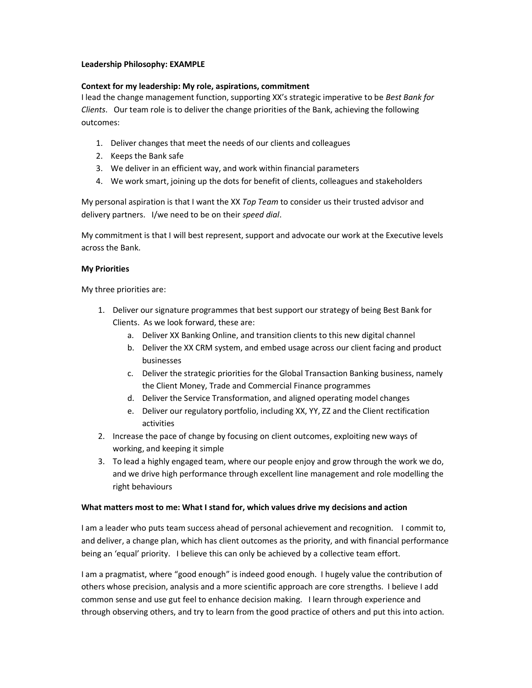## Leadership Philosophy: EXAMPLE

## Context for my leadership: My role, aspirations, commitment

I lead the change management function, supporting XX's strategic imperative to be Best Bank for Clients. Our team role is to deliver the change priorities of the Bank, achieving the following outcomes:

- 1. Deliver changes that meet the needs of our clients and colleagues
- 2. Keeps the Bank safe
- 3. We deliver in an efficient way, and work within financial parameters
- 4. We work smart, joining up the dots for benefit of clients, colleagues and stakeholders

My personal aspiration is that I want the XX Top Team to consider us their trusted advisor and delivery partners. I/we need to be on their speed dial.

My commitment is that I will best represent, support and advocate our work at the Executive levels across the Bank.

### My Priorities

My three priorities are:

- 1. Deliver our signature programmes that best support our strategy of being Best Bank for Clients. As we look forward, these are:
	- a. Deliver XX Banking Online, and transition clients to this new digital channel
	- b. Deliver the XX CRM system, and embed usage across our client facing and product businesses
	- c. Deliver the strategic priorities for the Global Transaction Banking business, namely the Client Money, Trade and Commercial Finance programmes
	- d. Deliver the Service Transformation, and aligned operating model changes
	- e. Deliver our regulatory portfolio, including XX, YY, ZZ and the Client rectification activities
- 2. Increase the pace of change by focusing on client outcomes, exploiting new ways of working, and keeping it simple
- 3. To lead a highly engaged team, where our people enjoy and grow through the work we do, and we drive high performance through excellent line management and role modelling the right behaviours

### What matters most to me: What I stand for, which values drive my decisions and action

I am a leader who puts team success ahead of personal achievement and recognition. I commit to, and deliver, a change plan, which has client outcomes as the priority, and with financial performance being an 'equal' priority. I believe this can only be achieved by a collective team effort.

I am a pragmatist, where "good enough" is indeed good enough. I hugely value the contribution of others whose precision, analysis and a more scientific approach are core strengths. I believe I add common sense and use gut feel to enhance decision making. I learn through experience and through observing others, and try to learn from the good practice of others and put this into action.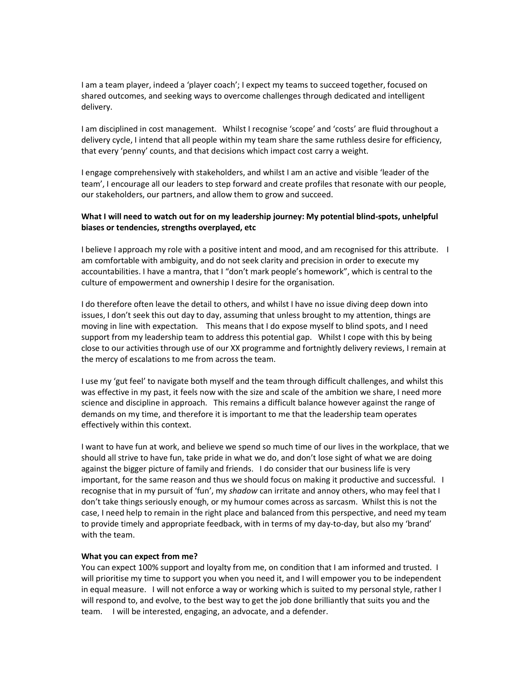I am a team player, indeed a 'player coach'; I expect my teams to succeed together, focused on shared outcomes, and seeking ways to overcome challenges through dedicated and intelligent delivery.

I am disciplined in cost management. Whilst I recognise 'scope' and 'costs' are fluid throughout a delivery cycle, I intend that all people within my team share the same ruthless desire for efficiency, that every 'penny' counts, and that decisions which impact cost carry a weight.

I engage comprehensively with stakeholders, and whilst I am an active and visible 'leader of the team', I encourage all our leaders to step forward and create profiles that resonate with our people, our stakeholders, our partners, and allow them to grow and succeed.

# What I will need to watch out for on my leadership journey: My potential blind-spots, unhelpful biases or tendencies, strengths overplayed, etc

I believe I approach my role with a positive intent and mood, and am recognised for this attribute. I am comfortable with ambiguity, and do not seek clarity and precision in order to execute my accountabilities. I have a mantra, that I "don't mark people's homework", which is central to the culture of empowerment and ownership I desire for the organisation.

I do therefore often leave the detail to others, and whilst I have no issue diving deep down into issues, I don't seek this out day to day, assuming that unless brought to my attention, things are moving in line with expectation. This means that I do expose myself to blind spots, and I need support from my leadership team to address this potential gap. Whilst I cope with this by being close to our activities through use of our XX programme and fortnightly delivery reviews, I remain at the mercy of escalations to me from across the team.

I use my 'gut feel' to navigate both myself and the team through difficult challenges, and whilst this was effective in my past, it feels now with the size and scale of the ambition we share, I need more science and discipline in approach. This remains a difficult balance however against the range of demands on my time, and therefore it is important to me that the leadership team operates effectively within this context.

I want to have fun at work, and believe we spend so much time of our lives in the workplace, that we should all strive to have fun, take pride in what we do, and don't lose sight of what we are doing against the bigger picture of family and friends. I do consider that our business life is very important, for the same reason and thus we should focus on making it productive and successful. I recognise that in my pursuit of 'fun', my shadow can irritate and annoy others, who may feel that I don't take things seriously enough, or my humour comes across as sarcasm. Whilst this is not the case, I need help to remain in the right place and balanced from this perspective, and need my team to provide timely and appropriate feedback, with in terms of my day-to-day, but also my 'brand' with the team.

### What you can expect from me?

You can expect 100% support and loyalty from me, on condition that I am informed and trusted. I will prioritise my time to support you when you need it, and I will empower you to be independent in equal measure. I will not enforce a way or working which is suited to my personal style, rather I will respond to, and evolve, to the best way to get the job done brilliantly that suits you and the team. I will be interested, engaging, an advocate, and a defender.